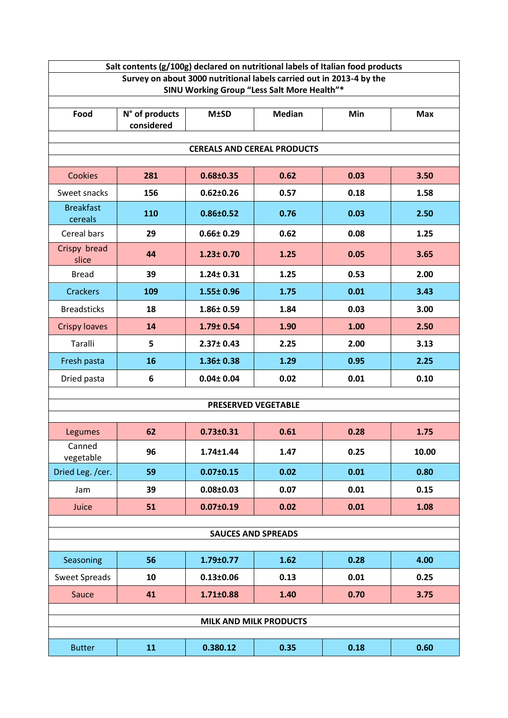| Salt contents (g/100g) declared on nutritional labels of Italian food products                                      |                              |                 |               |      |            |  |  |  |  |
|---------------------------------------------------------------------------------------------------------------------|------------------------------|-----------------|---------------|------|------------|--|--|--|--|
| Survey on about 3000 nutritional labels carried out in 2013-4 by the<br>SINU Working Group "Less Salt More Health"* |                              |                 |               |      |            |  |  |  |  |
|                                                                                                                     |                              |                 |               |      |            |  |  |  |  |
| Food                                                                                                                | N° of products<br>considered | <b>M±SD</b>     | <b>Median</b> | Min  | <b>Max</b> |  |  |  |  |
|                                                                                                                     |                              |                 |               |      |            |  |  |  |  |
| <b>CEREALS AND CEREAL PRODUCTS</b>                                                                                  |                              |                 |               |      |            |  |  |  |  |
| <b>Cookies</b>                                                                                                      | 281                          | $0.68 \pm 0.35$ | 0.62          | 0.03 | 3.50       |  |  |  |  |
| Sweet snacks                                                                                                        | 156                          | $0.62 \pm 0.26$ | 0.57          | 0.18 | 1.58       |  |  |  |  |
| <b>Breakfast</b><br>cereals                                                                                         | 110                          | 0.86±0.52       | 0.76          | 0.03 | 2.50       |  |  |  |  |
| Cereal bars                                                                                                         | 29                           | $0.66 \pm 0.29$ | 0.62          | 0.08 | 1.25       |  |  |  |  |
| Crispy bread<br>slice                                                                                               | 44                           | $1.23 \pm 0.70$ | 1.25          | 0.05 | 3.65       |  |  |  |  |
| <b>Bread</b>                                                                                                        | 39                           | $1.24 \pm 0.31$ | 1.25          | 0.53 | 2.00       |  |  |  |  |
| <b>Crackers</b>                                                                                                     | 109                          | 1.55± 0.96      | 1.75          | 0.01 | 3.43       |  |  |  |  |
| <b>Breadsticks</b>                                                                                                  | 18                           | 1.86± 0.59      | 1.84          | 0.03 | 3.00       |  |  |  |  |
| <b>Crispy loaves</b>                                                                                                | 14                           | 1.79± 0.54      | 1.90          | 1.00 | 2.50       |  |  |  |  |
| Taralli                                                                                                             | 5                            | 2.37± 0.43      | 2.25          | 2.00 | 3.13       |  |  |  |  |
| Fresh pasta                                                                                                         | 16                           | 1.36±0.38       | 1.29          | 0.95 | 2.25       |  |  |  |  |
| Dried pasta                                                                                                         | 6                            | $0.04 \pm 0.04$ | 0.02          | 0.01 | 0.10       |  |  |  |  |
| <b>PRESERVED VEGETABLE</b>                                                                                          |                              |                 |               |      |            |  |  |  |  |
|                                                                                                                     |                              |                 |               |      |            |  |  |  |  |
| Legumes                                                                                                             | 62                           | $0.73 \pm 0.31$ | 0.61          | 0.28 | 1.75       |  |  |  |  |
| Canned<br>vegetable                                                                                                 | 96                           | 1.74±1.44       | 1.47          | 0.25 | 10.00      |  |  |  |  |
| Dried Leg. /cer.                                                                                                    | 59                           | $0.07 \pm 0.15$ | 0.02          | 0.01 | 0.80       |  |  |  |  |
| Jam                                                                                                                 | 39                           | $0.08 \pm 0.03$ | 0.07          | 0.01 | 0.15       |  |  |  |  |
| Juice                                                                                                               | 51                           | $0.07 \pm 0.19$ | 0.02          | 0.01 | 1.08       |  |  |  |  |
| <b>SAUCES AND SPREADS</b>                                                                                           |                              |                 |               |      |            |  |  |  |  |
|                                                                                                                     |                              |                 |               |      |            |  |  |  |  |
| Seasoning                                                                                                           | 56                           | 1.79±0.77       | 1.62          | 0.28 | 4.00       |  |  |  |  |
| <b>Sweet Spreads</b>                                                                                                | 10                           | $0.13 \pm 0.06$ | 0.13          | 0.01 | 0.25       |  |  |  |  |
| Sauce                                                                                                               | 41                           | $1.71 \pm 0.88$ | 1.40          | 0.70 | 3.75       |  |  |  |  |
| <b>MILK AND MILK PRODUCTS</b>                                                                                       |                              |                 |               |      |            |  |  |  |  |
|                                                                                                                     |                              |                 |               |      |            |  |  |  |  |
| <b>Butter</b>                                                                                                       | 11                           | 0.380.12        | 0.35          | 0.18 | 0.60       |  |  |  |  |